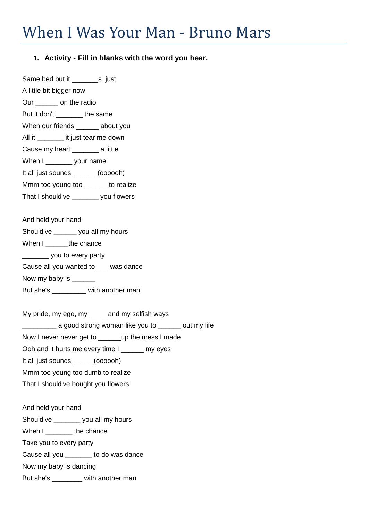## When I Was Your Man - Bruno Mars

## **1. Activity - Fill in blanks with the word you hear.**

Same bed but it **s** iust

A little bit bigger now

Our \_\_\_\_\_\_\_\_ on the radio

But it don't the same

When our friends \_\_\_\_\_\_ about you

All it \_\_\_\_\_\_\_\_ it just tear me down

Cause my heart \_\_\_\_\_\_\_ a little

When I wour name

It all just sounds (oooooh)

Mmm too young too \_\_\_\_\_\_ to realize

That I should've \_\_\_\_\_\_\_ you flowers

And held your hand

Should've \_\_\_\_\_\_ you all my hours

When I the chance

\_\_\_\_\_\_\_ you to every party

Cause all you wanted to \_\_\_ was dance

Now my baby is \_\_\_\_\_\_

But she's \_\_\_\_\_\_\_\_\_ with another man

My pride, my ego, my and my selfish ways

\_\_\_\_\_\_\_\_\_ a good strong woman like you to \_\_\_\_\_\_ out my life

Now I never never get to \_\_\_\_\_\_\_up the mess I made

Ooh and it hurts me every time I my eyes

It all just sounds \_\_\_\_\_ (oooooh)

Mmm too young too dumb to realize

That I should've bought you flowers

And held your hand Should've \_\_\_\_\_\_\_ you all my hours When I **the chance** Take you to every party Cause all you \_\_\_\_\_\_\_ to do was dance

Now my baby is dancing

But she's with another man